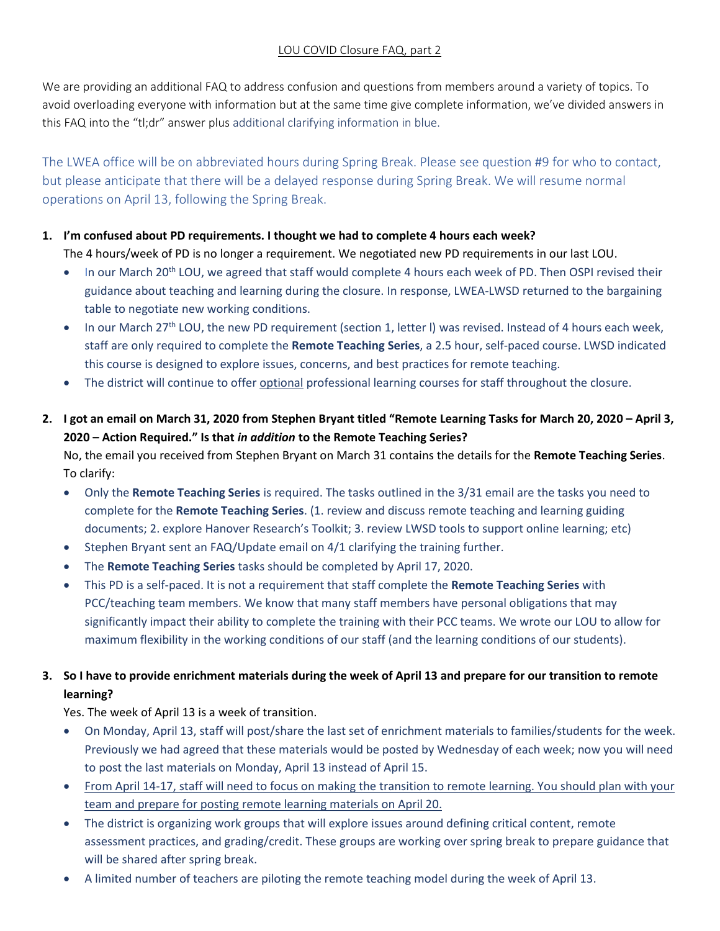We are providing an additional FAQ to address confusion and questions from members around a variety of topics. To avoid overloading everyone with information but at the same time give complete information, we've divided answers in this FAQ into the "tl;dr" answer plus additional clarifying information in blue.

The LWEA office will be on abbreviated hours during Spring Break. Please see question #9 for who to contact, but please anticipate that there will be a delayed response during Spring Break. We will resume normal operations on April 13, following the Spring Break.

## **1. I'm confused about PD requirements. I thought we had to complete 4 hours each week?**

The 4 hours/week of PD is no longer a requirement. We negotiated new PD requirements in our last LOU.

- In our March 20<sup>th</sup> LOU, we agreed that staff would complete 4 hours each week of PD. Then OSPI revised their guidance about teaching and learning during the closure. In response, LWEA-LWSD returned to the bargaining table to negotiate new working conditions.
- $\bullet$  In our March 27<sup>th</sup> LOU, the new PD requirement (section 1, letter I) was revised. Instead of 4 hours each week, staff are only required to complete the **Remote Teaching Series**, a 2.5 hour, self-paced course. LWSD indicated this course is designed to explore issues, concerns, and best practices for remote teaching.
- The district will continue to offer optional professional learning courses for staff throughout the closure.
- **2. I got an email on March 31, 2020 from Stephen Bryant titled "Remote Learning Tasks for March 20, 2020 – April 3, 2020 – Action Required." Is that** *in addition* **to the Remote Teaching Series?**

No, the email you received from Stephen Bryant on March 31 contains the details for the **Remote Teaching Series**. To clarify:

- Only the **Remote Teaching Series** is required. The tasks outlined in the 3/31 email are the tasks you need to complete for the **Remote Teaching Series**. (1. review and discuss remote teaching and learning guiding documents; 2. explore Hanover Research's Toolkit; 3. review LWSD tools to support online learning; etc)
- Stephen Bryant sent an FAQ/Update email on 4/1 clarifying the training further.
- The **Remote Teaching Series** tasks should be completed by April 17, 2020.
- This PD is a self-paced. It is not a requirement that staff complete the **Remote Teaching Series** with PCC/teaching team members. We know that many staff members have personal obligations that may significantly impact their ability to complete the training with their PCC teams. We wrote our LOU to allow for maximum flexibility in the working conditions of our staff (and the learning conditions of our students).

## **3. So I have to provide enrichment materials during the week of April 13 and prepare for our transition to remote learning?**

Yes. The week of April 13 is a week of transition.

- On Monday, April 13, staff will post/share the last set of enrichment materials to families/students for the week. Previously we had agreed that these materials would be posted by Wednesday of each week; now you will need to post the last materials on Monday, April 13 instead of April 15.
- From April 14-17, staff will need to focus on making the transition to remote learning. You should plan with your team and prepare for posting remote learning materials on April 20.
- The district is organizing work groups that will explore issues around defining critical content, remote assessment practices, and grading/credit. These groups are working over spring break to prepare guidance that will be shared after spring break.
- A limited number of teachers are piloting the remote teaching model during the week of April 13.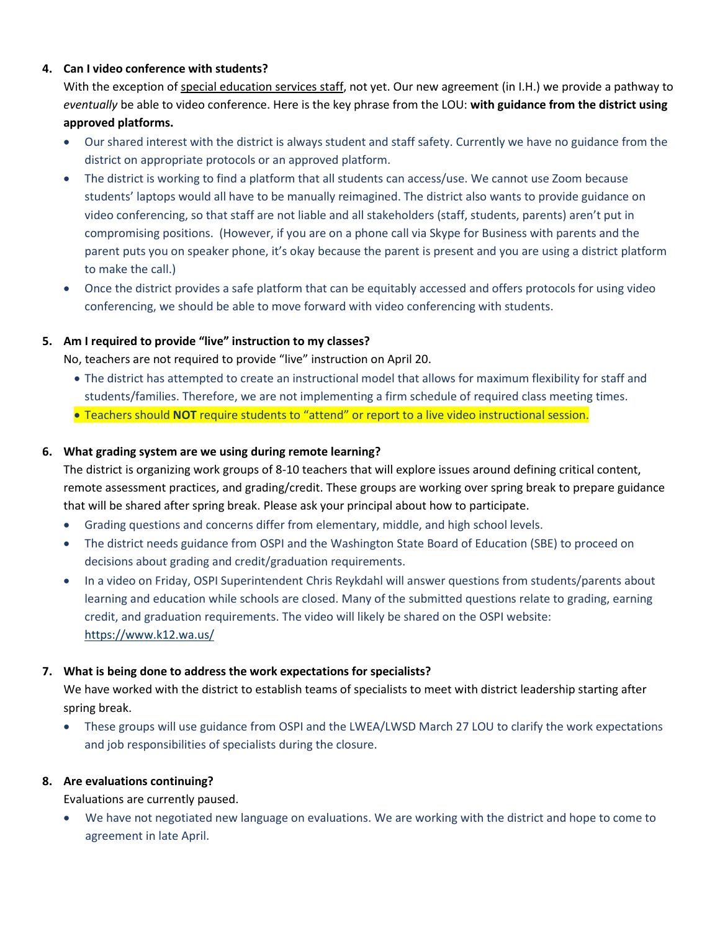## **4. Can I video conference with students?**

With the exception of special education services staff, not yet. Our new agreement (in I.H.) we provide a pathway to *eventually* be able to video conference. Here is the key phrase from the LOU: **with guidance from the district using approved platforms.**

- Our shared interest with the district is always student and staff safety. Currently we have no guidance from the district on appropriate protocols or an approved platform.
- The district is working to find a platform that all students can access/use. We cannot use Zoom because students' laptops would all have to be manually reimagined. The district also wants to provide guidance on video conferencing, so that staff are not liable and all stakeholders (staff, students, parents) aren't put in compromising positions. (However, if you are on a phone call via Skype for Business with parents and the parent puts you on speaker phone, it's okay because the parent is present and you are using a district platform to make the call.)
- Once the district provides a safe platform that can be equitably accessed and offers protocols for using video conferencing, we should be able to move forward with video conferencing with students.

#### **5. Am I required to provide "live" instruction to my classes?**

No, teachers are not required to provide "live" instruction on April 20.

- The district has attempted to create an instructional model that allows for maximum flexibility for staff and students/families. Therefore, we are not implementing a firm schedule of required class meeting times.
- Teachers should **NOT** require students to "attend" or report to a live video instructional session.

#### **6. What grading system are we using during remote learning?**

The district is organizing work groups of 8-10 teachers that will explore issues around defining critical content, remote assessment practices, and grading/credit. These groups are working over spring break to prepare guidance that will be shared after spring break. Please ask your principal about how to participate.

- Grading questions and concerns differ from elementary, middle, and high school levels.
- The district needs guidance from OSPI and the Washington State Board of Education (SBE) to proceed on decisions about grading and credit/graduation requirements.
- In a video on Friday, OSPI Superintendent Chris Reykdahl will answer questions from students/parents about learning and education while schools are closed. Many of the submitted questions relate to grading, earning credit, and graduation requirements. The video will likely be shared on the OSPI website: <https://www.k12.wa.us/>

#### **7. What is being done to address the work expectations for specialists?**

We have worked with the district to establish teams of specialists to meet with district leadership starting after spring break.

 These groups will use guidance from OSPI and the LWEA/LWSD March 27 LOU to clarify the work expectations and job responsibilities of specialists during the closure.

## **8. Are evaluations continuing?**

Evaluations are currently paused.

 We have not negotiated new language on evaluations. We are working with the district and hope to come to agreement in late April.